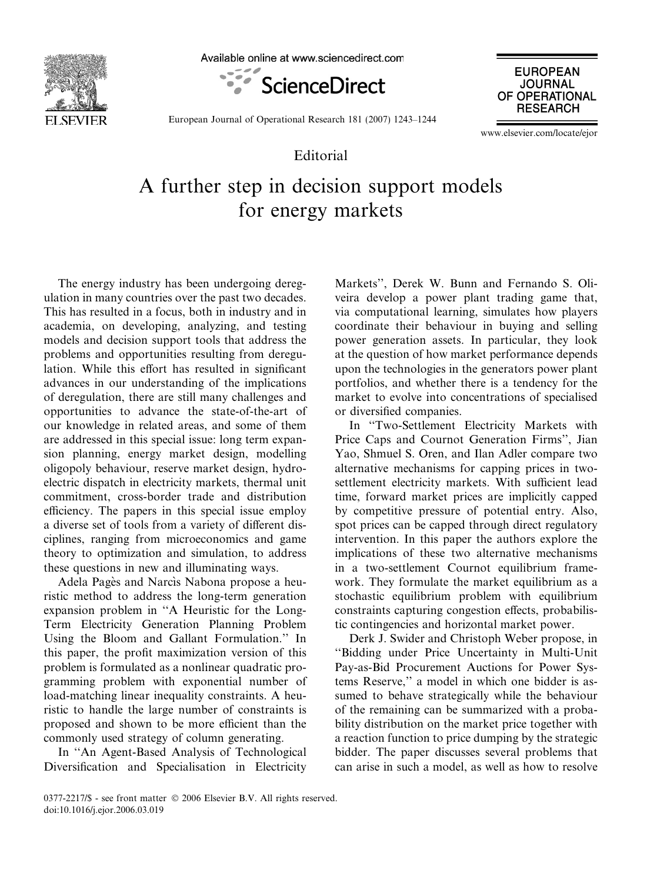

Available online at www.sciencedirect.com





European Journal of Operational Research 181 (2007) 1243–1244

www.elsevier.com/locate/ejor

## Editorial

## A further step in decision support models for energy markets

The energy industry has been undergoing deregulation in many countries over the past two decades. This has resulted in a focus, both in industry and in academia, on developing, analyzing, and testing models and decision support tools that address the problems and opportunities resulting from deregulation. While this effort has resulted in significant advances in our understanding of the implications of deregulation, there are still many challenges and opportunities to advance the state-of-the-art of our knowledge in related areas, and some of them are addressed in this special issue: long term expansion planning, energy market design, modelling oligopoly behaviour, reserve market design, hydroelectric dispatch in electricity markets, thermal unit commitment, cross-border trade and distribution efficiency. The papers in this special issue employ a diverse set of tools from a variety of different disciplines, ranging from microeconomics and game theory to optimization and simulation, to address these questions in new and illuminating ways.

Adela Pagès and Narcìs Nabona propose a heuristic method to address the long-term generation expansion problem in ''A Heuristic for the Long-Term Electricity Generation Planning Problem Using the Bloom and Gallant Formulation.'' In this paper, the profit maximization version of this problem is formulated as a nonlinear quadratic programming problem with exponential number of load-matching linear inequality constraints. A heuristic to handle the large number of constraints is proposed and shown to be more efficient than the commonly used strategy of column generating.

In ''An Agent-Based Analysis of Technological Diversification and Specialisation in Electricity

Markets'', Derek W. Bunn and Fernando S. Oliveira develop a power plant trading game that, via computational learning, simulates how players coordinate their behaviour in buying and selling power generation assets. In particular, they look at the question of how market performance depends upon the technologies in the generators power plant portfolios, and whether there is a tendency for the market to evolve into concentrations of specialised or diversified companies.

In ''Two-Settlement Electricity Markets with Price Caps and Cournot Generation Firms'', Jian Yao, Shmuel S. Oren, and Ilan Adler compare two alternative mechanisms for capping prices in twosettlement electricity markets. With sufficient lead time, forward market prices are implicitly capped by competitive pressure of potential entry. Also, spot prices can be capped through direct regulatory intervention. In this paper the authors explore the implications of these two alternative mechanisms in a two-settlement Cournot equilibrium framework. They formulate the market equilibrium as a stochastic equilibrium problem with equilibrium constraints capturing congestion effects, probabilistic contingencies and horizontal market power.

Derk J. Swider and Christoph Weber propose, in ''Bidding under Price Uncertainty in Multi-Unit Pay-as-Bid Procurement Auctions for Power Systems Reserve,'' a model in which one bidder is assumed to behave strategically while the behaviour of the remaining can be summarized with a probability distribution on the market price together with a reaction function to price dumping by the strategic bidder. The paper discusses several problems that can arise in such a model, as well as how to resolve